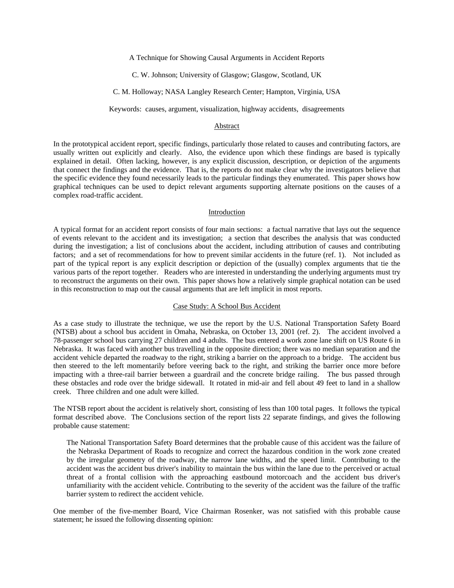A Technique for Showing Causal Arguments in Accident Reports

C. W. Johnson; University of Glasgow; Glasgow, Scotland, UK

#### C. M. Holloway; NASA Langley Research Center; Hampton, Virginia, USA

Keywords: causes, argument, visualization, highway accidents, disagreements

# Abstract

In the prototypical accident report, specific findings, particularly those related to causes and contributing factors, are usually written out explicitly and clearly. Also, the evidence upon which these findings are based is typically explained in detail. Often lacking, however, is any explicit discussion, description, or depiction of the arguments that connect the findings and the evidence. That is, the reports do not make clear why the investigators believe that the specific evidence they found necessarily leads to the particular findings they enumerated. This paper shows how graphical techniques can be used to depict relevant arguments supporting alternate positions on the causes of a complex road-traffic accident.

#### Introduction

A typical format for an accident report consists of four main sections: a factual narrative that lays out the sequence of events relevant to the accident and its investigation; a section that describes the analysis that was conducted during the investigation; a list of conclusions about the accident, including attribution of causes and contributing factors; and a set of recommendations for how to prevent similar accidents in the future (ref. 1). Not included as part of the typical report is any explicit description or depiction of the (usually) complex arguments that tie the various parts of the report together. Readers who are interested in understanding the underlying arguments must try to reconstruct the arguments on their own. This paper shows how a relatively simple graphical notation can be used in this reconstruction to map out the causal arguments that are left implicit in most reports.

## Case Study: A School Bus Accident

As a case study to illustrate the technique, we use the report by the U.S. National Transportation Safety Board (NTSB) about a school bus accident in Omaha, Nebraska, on October 13, 2001 (ref. 2). The accident involved a 78-passenger school bus carrying 27 children and 4 adults. The bus entered a work zone lane shift on US Route 6 in Nebraska. It was faced with another bus travelling in the opposite direction; there was no median separation and the accident vehicle departed the roadway to the right, striking a barrier on the approach to a bridge. The accident bus then steered to the left momentarily before veering back to the right, and striking the barrier once more before impacting with a three-rail barrier between a guardrail and the concrete bridge railing. The bus passed through these obstacles and rode over the bridge sidewall. It rotated in mid-air and fell about 49 feet to land in a shallow creek. Three children and one adult were killed.

The NTSB report about the accident is relatively short, consisting of less than 100 total pages. It follows the typical format described above. The Conclusions section of the report lists 22 separate findings, and gives the following probable cause statement:

The National Transportation Safety Board determines that the probable cause of this accident was the failure of the Nebraska Department of Roads to recognize and correct the hazardous condition in the work zone created by the irregular geometry of the roadway, the narrow lane widths, and the speed limit. Contributing to the accident was the accident bus driver's inability to maintain the bus within the lane due to the perceived or actual threat of a frontal collision with the approaching eastbound motorcoach and the accident bus driver's unfamiliarity with the accident vehicle. Contributing to the severity of the accident was the failure of the traffic barrier system to redirect the accident vehicle.

One member of the five-member Board, Vice Chairman Rosenker, was not satisfied with this probable cause statement; he issued the following dissenting opinion: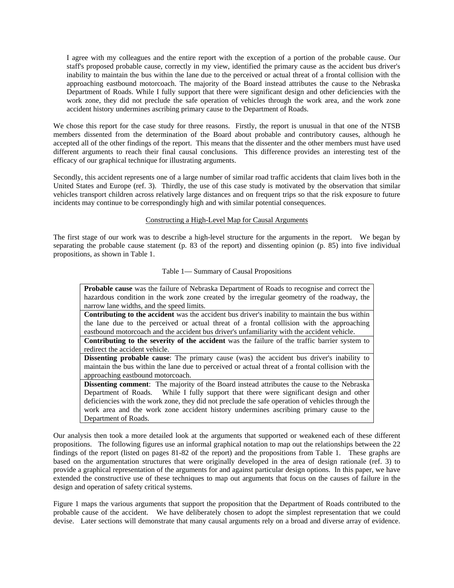I agree with my colleagues and the entire report with the exception of a portion of the probable cause. Our staff's proposed probable cause, correctly in my view, identified the primary cause as the accident bus driver's inability to maintain the bus within the lane due to the perceived or actual threat of a frontal collision with the approaching eastbound motorcoach. The majority of the Board instead attributes the cause to the Nebraska Department of Roads. While I fully support that there were significant design and other deficiencies with the work zone, they did not preclude the safe operation of vehicles through the work area, and the work zone accident history undermines ascribing primary cause to the Department of Roads.

We chose this report for the case study for three reasons. Firstly, the report is unusual in that one of the NTSB members dissented from the determination of the Board about probable and contributory causes, although he accepted all of the other findings of the report. This means that the dissenter and the other members must have used different arguments to reach their final causal conclusions. This difference provides an interesting test of the efficacy of our graphical technique for illustrating arguments.

Secondly, this accident represents one of a large number of similar road traffic accidents that claim lives both in the United States and Europe (ref. 3). Thirdly, the use of this case study is motivated by the observation that similar vehicles transport children across relatively large distances and on frequent trips so that the risk exposure to future incidents may continue to be correspondingly high and with similar potential consequences.

# Constructing a High-Level Map for Causal Arguments

The first stage of our work was to describe a high-level structure for the arguments in the report. We began by separating the probable cause statement (p. 83 of the report) and dissenting opinion (p. 85) into five individual propositions, as shown in Table 1.

## Table 1— Summary of Causal Propositions

| Probable cause was the failure of Nebraska Department of Roads to recognise and correct the            |
|--------------------------------------------------------------------------------------------------------|
| hazardous condition in the work zone created by the irregular geometry of the roadway, the             |
| narrow lane widths, and the speed limits.                                                              |
| <b>Contributing to the accident</b> was the accident bus driver's inability to maintain the bus within |
| the lane due to the perceived or actual threat of a frontal collision with the approaching             |
| eastbound motorcoach and the accident bus driver's unfamiliarity with the accident vehicle.            |
| <b>Contributing to the severity of the accident</b> was the failure of the traffic barrier system to   |
| redirect the accident vehicle.                                                                         |
| <b>Dissenting probable cause</b> : The primary cause (was) the accident bus driver's inability to      |
| maintain the bus within the lane due to perceived or actual threat of a frontal collision with the     |
| approaching eastbound motorcoach.                                                                      |
| <b>Dissenting comment:</b> The majority of the Board instead attributes the cause to the Nebraska      |
| Department of Roads. While I fully support that there were significant design and other                |
| deficiencies with the work zone, they did not preclude the safe operation of vehicles through the      |
| work area and the work zone accident history undermines ascribing primary cause to the                 |
| Department of Roads.                                                                                   |

Our analysis then took a more detailed look at the arguments that supported or weakened each of these different propositions. The following figures use an informal graphical notation to map out the relationships between the 22 findings of the report (listed on pages 81-82 of the report) and the propositions from Table 1. These graphs are based on the argumentation structures that were originally developed in the area of design rationale (ref. 3) to provide a graphical representation of the arguments for and against particular design options. In this paper, we have extended the constructive use of these techniques to map out arguments that focus on the causes of failure in the design and operation of safety critical systems.

Figure 1 maps the various arguments that support the proposition that the Department of Roads contributed to the probable cause of the accident. We have deliberately chosen to adopt the simplest representation that we could devise. Later sections will demonstrate that many causal arguments rely on a broad and diverse array of evidence.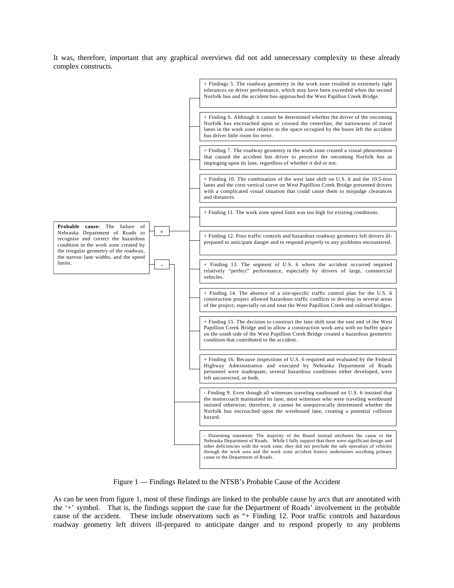It was, therefore, important that any graphical overviews did not add unnecessary complexity to these already complex constructs.



Figure 1 — Findings Related to the NTSB's Probable Cause of the Accident

As can be seen from figure 1, most of these findings are linked to the probable cause by arcs that are annotated with the '+' symbol. That is, the findings support the case for the Department of Roads' involvement in the probable cause of the accident. These include observations such as "+ Finding 12. Poor traffic controls and hazardous roadway geometry left drivers ill-prepared to anticipate danger and to respond properly to any problems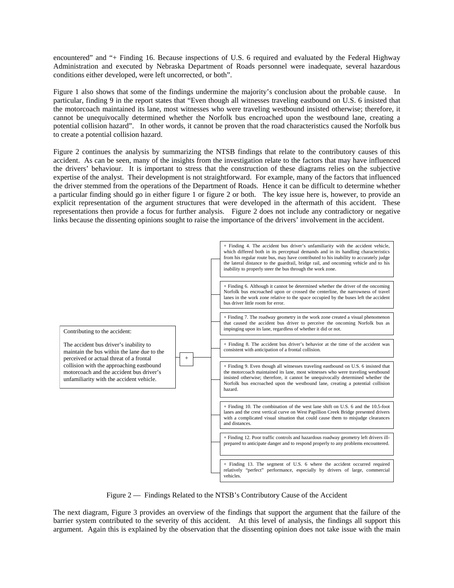encountered" and "+ Finding 16. Because inspections of U.S. 6 required and evaluated by the Federal Highway Administration and executed by Nebraska Department of Roads personnel were inadequate, several hazardous conditions either developed, were left uncorrected, or both".

Figure 1 also shows that some of the findings undermine the majority's conclusion about the probable cause. In particular, finding 9 in the report states that "Even though all witnesses traveling eastbound on U.S. 6 insisted that the motorcoach maintained its lane, most witnesses who were traveling westbound insisted otherwise; therefore, it cannot be unequivocally determined whether the Norfolk bus encroached upon the westbound lane, creating a potential collision hazard". In other words, it cannot be proven that the road characteristics caused the Norfolk bus to create a potential collision hazard.

Figure 2 continues the analysis by summarizing the NTSB findings that relate to the contributory causes of this accident. As can be seen, many of the insights from the investigation relate to the factors that may have influenced the drivers' behaviour. It is important to stress that the construction of these diagrams relies on the subjective expertise of the analyst. Their development is not straightforward. For example, many of the factors that influenced the driver stemmed from the operations of the Department of Roads. Hence it can be difficult to determine whether a particular finding should go in either figure 1 or figure 2 or both. The key issue here is, however, to provide an explicit representation of the argument structures that were developed in the aftermath of this accident. These representations then provide a focus for further analysis. Figure 2 does not include any contradictory or negative links because the dissenting opinions sought to raise the importance of the drivers' involvement in the accident.



Figure 2 — Findings Related to the NTSB's Contributory Cause of the Accident

The next diagram, Figure 3 provides an overview of the findings that support the argument that the failure of the barrier system contributed to the severity of this accident. At this level of analysis, the findings all support this argument. Again this is explained by the observation that the dissenting opinion does not take issue with the main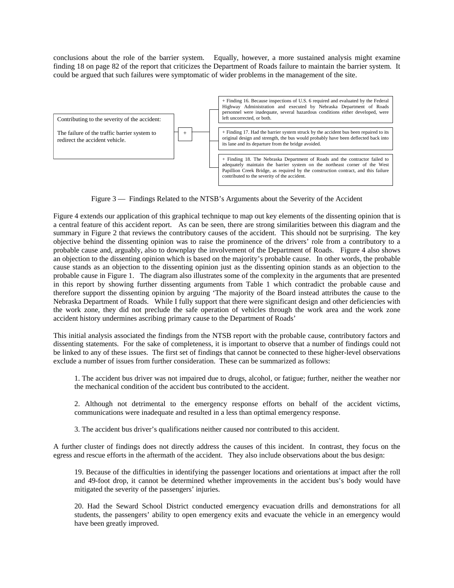conclusions about the role of the barrier system. Equally, however, a more sustained analysis might examine finding 18 on page 82 of the report that criticizes the Department of Roads failure to maintain the barrier system. It could be argued that such failures were symptomatic of wider problems in the management of the site.



Figure 3 — Findings Related to the NTSB's Arguments about the Severity of the Accident

Figure 4 extends our application of this graphical technique to map out key elements of the dissenting opinion that is a central feature of this accident report. As can be seen, there are strong similarities between this diagram and the summary in Figure 2 that reviews the contributory causes of the accident. This should not be surprising. The key objective behind the dissenting opinion was to raise the prominence of the drivers' role from a contributory to a probable cause and, arguably, also to downplay the involvement of the Department of Roads. Figure 4 also shows an objection to the dissenting opinion which is based on the majority's probable cause. In other words, the probable cause stands as an objection to the dissenting opinion just as the dissenting opinion stands as an objection to the probable cause in Figure 1. The diagram also illustrates some of the complexity in the arguments that are presented in this report by showing further dissenting arguments from Table 1 which contradict the probable cause and therefore support the dissenting opinion by arguing 'The majority of the Board instead attributes the cause to the Nebraska Department of Roads. While I fully support that there were significant design and other deficiencies with the work zone, they did not preclude the safe operation of vehicles through the work area and the work zone accident history undermines ascribing primary cause to the Department of Roads'

This initial analysis associated the findings from the NTSB report with the probable cause, contributory factors and dissenting statements. For the sake of completeness, it is important to observe that a number of findings could not be linked to any of these issues. The first set of findings that cannot be connected to these higher-level observations exclude a number of issues from further consideration. These can be summarized as follows:

1. The accident bus driver was not impaired due to drugs, alcohol, or fatigue; further, neither the weather nor the mechanical condition of the accident bus contributed to the accident.

2. Although not detrimental to the emergency response efforts on behalf of the accident victims, communications were inadequate and resulted in a less than optimal emergency response.

3. The accident bus driver's qualifications neither caused nor contributed to this accident.

A further cluster of findings does not directly address the causes of this incident. In contrast, they focus on the egress and rescue efforts in the aftermath of the accident. They also include observations about the bus design:

19. Because of the difficulties in identifying the passenger locations and orientations at impact after the roll and 49-foot drop, it cannot be determined whether improvements in the accident bus's body would have mitigated the severity of the passengers' injuries.

20. Had the Seward School District conducted emergency evacuation drills and demonstrations for all students, the passengers' ability to open emergency exits and evacuate the vehicle in an emergency would have been greatly improved.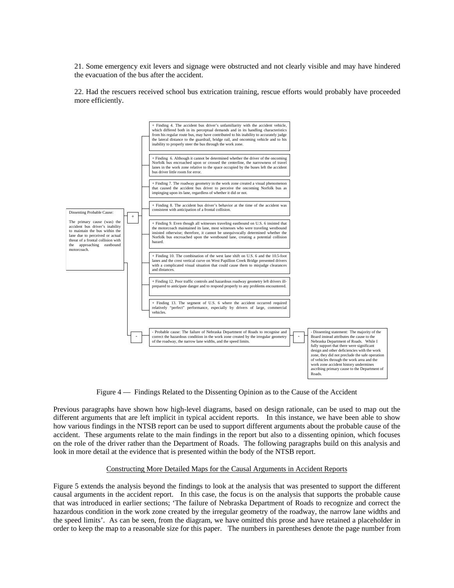21. Some emergency exit levers and signage were obstructed and not clearly visible and may have hindered the evacuation of the bus after the accident.

22. Had the rescuers received school bus extrication training, rescue efforts would probably have proceeded more efficiently.



Figure 4 — Findings Related to the Dissenting Opinion as to the Cause of the Accident

Previous paragraphs have shown how high-level diagrams, based on design rationale, can be used to map out the different arguments that are left implicit in typical accident reports. In this instance, we have been able to show how various findings in the NTSB report can be used to support different arguments about the probable cause of the accident. These arguments relate to the main findings in the report but also to a dissenting opinion, which focuses on the role of the driver rather than the Department of Roads. The following paragraphs build on this analysis and look in more detail at the evidence that is presented within the body of the NTSB report.

## Constructing More Detailed Maps for the Causal Arguments in Accident Reports

Figure 5 extends the analysis beyond the findings to look at the analysis that was presented to support the different causal arguments in the accident report. In this case, the focus is on the analysis that supports the probable cause that was introduced in earlier sections; 'The failure of Nebraska Department of Roads to recognize and correct the hazardous condition in the work zone created by the irregular geometry of the roadway, the narrow lane widths and the speed limits'. As can be seen, from the diagram, we have omitted this prose and have retained a placeholder in order to keep the map to a reasonable size for this paper. The numbers in parentheses denote the page number from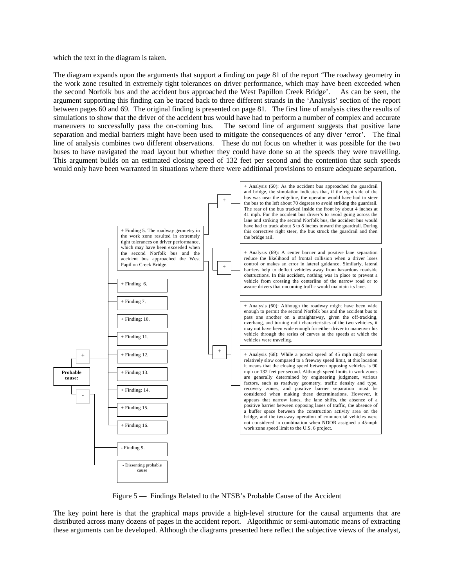which the text in the diagram is taken.

The diagram expands upon the arguments that support a finding on page 81 of the report 'The roadway geometry in the work zone resulted in extremely tight tolerances on driver performance, which may have been exceeded when the second Norfolk bus and the accident bus approached the West Papillon Creek Bridge'. As can be seen, the argument supporting this finding can be traced back to three different strands in the 'Analysis' section of the report between pages 60 and 69. The original finding is presented on page 81. The first line of analysis cites the results of simulations to show that the driver of the accident bus would have had to perform a number of complex and accurate maneuvers to successfully pass the on-coming bus. The second line of argument suggests that positive lane separation and medial barriers might have been used to mitigate the consequences of any diver 'error'. The final line of analysis combines two different observations. These do not focus on whether it was possible for the two buses to have navigated the road layout but whether they could have done so at the speeds they were travelling. This argument builds on an estimated closing speed of 132 feet per second and the contention that such speeds would only have been warranted in situations where there were additional provisions to ensure adequate separation.



Figure 5 — Findings Related to the NTSB's Probable Cause of the Accident

The key point here is that the graphical maps provide a high-level structure for the causal arguments that are distributed across many dozens of pages in the accident report. Algorithmic or semi-automatic means of extracting these arguments can be developed. Although the diagrams presented here reflect the subjective views of the analyst,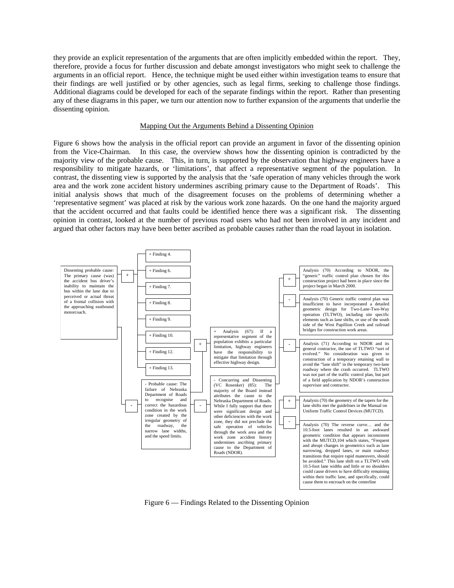they provide an explicit representation of the arguments that are often implicitly embedded within the report. They, therefore, provide a focus for further discussion and debate amongst investigators who might seek to challenge the arguments in an official report. Hence, the technique might be used either within investigation teams to ensure that their findings are well justified or by other agencies, such as legal firms, seeking to challenge those findings. Additional diagrams could be developed for each of the separate findings within the report. Rather than presenting any of these diagrams in this paper, we turn our attention now to further expansion of the arguments that underlie the dissenting opinion.

## Mapping Out the Arguments Behind a Dissenting Opinion

Figure 6 shows how the analysis in the official report can provide an argument in favor of the dissenting opinion from the Vice-Chairman. In this case, the overview shows how the dissenting opinion is contradicted by the majority view of the probable cause. This, in turn, is supported by the observation that highway engineers have a responsibility to mitigate hazards, or 'limitations', that affect a representative segment of the population. In contrast, the dissenting view is supported by the analysis that the 'safe operation of many vehicles through the work area and the work zone accident history undermines ascribing primary cause to the Department of Roads'. This initial analysis shows that much of the disagreement focuses on the problems of determining whether a 'representative segment' was placed at risk by the various work zone hazards. On the one hand the majority argued that the accident occurred and that faults could be identified hence there was a significant risk. The dissenting opinion in contrast, looked at the number of previous road users who had not been involved in any incident and argued that other factors may have been better ascribed as probable causes rather than the road layout in isolation.



Figure 6 — Findings Related to the Dissenting Opinion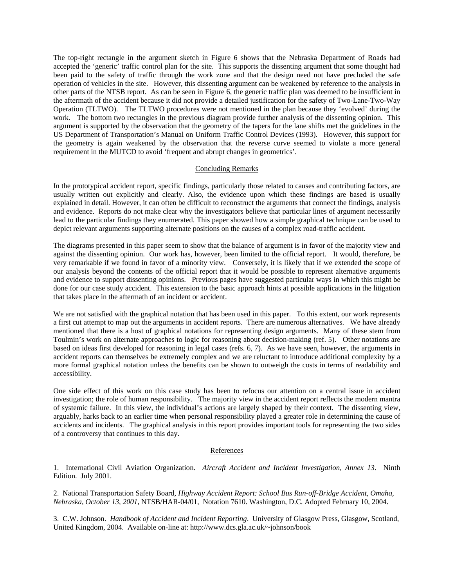The top-right rectangle in the argument sketch in Figure 6 shows that the Nebraska Department of Roads had accepted the 'generic' traffic control plan for the site. This supports the dissenting argument that some thought had been paid to the safety of traffic through the work zone and that the design need not have precluded the safe operation of vehicles in the site. However, this dissenting argument can be weakened by reference to the analysis in other parts of the NTSB report. As can be seen in Figure 6, the generic traffic plan was deemed to be insufficient in the aftermath of the accident because it did not provide a detailed justification for the safety of Two-Lane-Two-Way Operation (TLTWO). The TLTWO procedures were not mentioned in the plan because they 'evolved' during the work. The bottom two rectangles in the previous diagram provide further analysis of the dissenting opinion. This argument is supported by the observation that the geometry of the tapers for the lane shifts met the guidelines in the US Department of Transportation's Manual on Uniform Traffic Control Devices (1993). However, this support for the geometry is again weakened by the observation that the reverse curve seemed to violate a more general requirement in the MUTCD to avoid 'frequent and abrupt changes in geometrics'.

#### Concluding Remarks

In the prototypical accident report, specific findings, particularly those related to causes and contributing factors, are usually written out explicitly and clearly. Also, the evidence upon which these findings are based is usually explained in detail. However, it can often be difficult to reconstruct the arguments that connect the findings, analysis and evidence. Reports do not make clear why the investigators believe that particular lines of argument necessarily lead to the particular findings they enumerated. This paper showed how a simple graphical technique can be used to depict relevant arguments supporting alternate positions on the causes of a complex road-traffic accident.

The diagrams presented in this paper seem to show that the balance of argument is in favor of the majority view and against the dissenting opinion. Our work has, however, been limited to the official report. It would, therefore, be very remarkable if we found in favor of a minority view. Conversely, it is likely that if we extended the scope of our analysis beyond the contents of the official report that it would be possible to represent alternative arguments and evidence to support dissenting opinions. Previous pages have suggested particular ways in which this might be done for our case study accident. This extension to the basic approach hints at possible applications in the litigation that takes place in the aftermath of an incident or accident.

We are not satisfied with the graphical notation that has been used in this paper. To this extent, our work represents a first cut attempt to map out the arguments in accident reports. There are numerous alternatives. We have already mentioned that there is a host of graphical notations for representing design arguments. Many of these stem from Toulmin's work on alternate approaches to logic for reasoning about decision-making (ref. 5). Other notations are based on ideas first developed for reasoning in legal cases (refs. 6, 7). As we have seen, however, the arguments in accident reports can themselves be extremely complex and we are reluctant to introduce additional complexity by a more formal graphical notation unless the benefits can be shown to outweigh the costs in terms of readability and accessibility.

One side effect of this work on this case study has been to refocus our attention on a central issue in accident investigation; the role of human responsibility. The majority view in the accident report reflects the modern mantra of systemic failure. In this view, the individual's actions are largely shaped by their context. The dissenting view, arguably, harks back to an earlier time when personal responsibility played a greater role in determining the cause of accidents and incidents. The graphical analysis in this report provides important tools for representing the two sides of a controversy that continues to this day.

#### References

1. International Civil Aviation Organization. *Aircraft Accident and Incident Investigation, Annex 13*. Ninth Edition. July 2001.

2. National Transportation Safety Board, *Highway Accident Report: School Bus Run-off-Bridge Accident, Omaha, Nebraska, October 13, 2001*, NTSB/HAR-04/01, Notation 7610. Washington, D.C. Adopted February 10, 2004.

3. C.W. Johnson. *Handbook of Accident and Incident Reporting*. University of Glasgow Press, Glasgow, Scotland, United Kingdom, 2004. Available on-line at: http://www.dcs.gla.ac.uk/~johnson/book